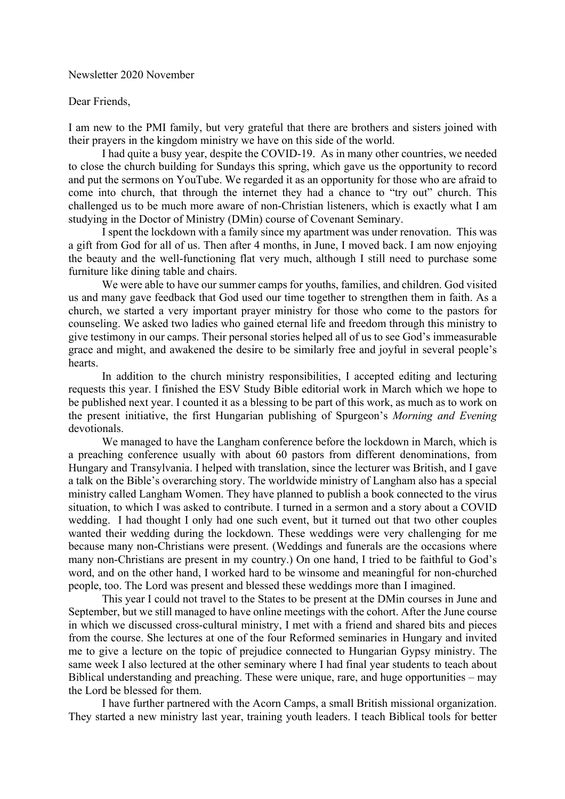Newsletter 2020 November

## Dear Friends,

I am new to the PMI family, but very grateful that there are brothers and sisters joined with their prayers in the kingdom ministry we have on this side of the world.

I had quite a busy year, despite the COVID-19. As in many other countries, we needed to close the church building for Sundays this spring, which gave us the opportunity to record and put the sermons on YouTube. We regarded it as an opportunity for those who are afraid to come into church, that through the internet they had a chance to "try out" church. This challenged us to be much more aware of non-Christian listeners, which is exactly what I am studying in the Doctor of Ministry (DMin) course of Covenant Seminary.

I spent the lockdown with a family since my apartment was under renovation. This was a gift from God for all of us. Then after 4 months, in June, I moved back. I am now enjoying the beauty and the well-functioning flat very much, although I still need to purchase some furniture like dining table and chairs.

We were able to have our summer camps for youths, families, and children. God visited us and many gave feedback that God used our time together to strengthen them in faith. As a church, we started a very important prayer ministry for those who come to the pastors for counseling. We asked two ladies who gained eternal life and freedom through this ministry to give testimony in our camps. Their personal stories helped all of us to see God's immeasurable grace and might, and awakened the desire to be similarly free and joyful in several people's hearts.

In addition to the church ministry responsibilities, I accepted editing and lecturing requests this year. I finished the ESV Study Bible editorial work in March which we hope to be published next year. I counted it as a blessing to be part of this work, as much as to work on the present initiative, the first Hungarian publishing of Spurgeon's *Morning and Evening* devotionals.

We managed to have the Langham conference before the lockdown in March, which is a preaching conference usually with about 60 pastors from different denominations, from Hungary and Transylvania. I helped with translation, since the lecturer was British, and I gave a talk on the Bible's overarching story. The worldwide ministry of Langham also has a special ministry called Langham Women. They have planned to publish a book connected to the virus situation, to which I was asked to contribute. I turned in a sermon and a story about a COVID wedding. I had thought I only had one such event, but it turned out that two other couples wanted their wedding during the lockdown. These weddings were very challenging for me because many non-Christians were present. (Weddings and funerals are the occasions where many non-Christians are present in my country.) On one hand, I tried to be faithful to God's word, and on the other hand, I worked hard to be winsome and meaningful for non-churched people, too. The Lord was present and blessed these weddings more than I imagined.

This year I could not travel to the States to be present at the DMin courses in June and September, but we still managed to have online meetings with the cohort. After the June course in which we discussed cross-cultural ministry, I met with a friend and shared bits and pieces from the course. She lectures at one of the four Reformed seminaries in Hungary and invited me to give a lecture on the topic of prejudice connected to Hungarian Gypsy ministry. The same week I also lectured at the other seminary where I had final year students to teach about Biblical understanding and preaching. These were unique, rare, and huge opportunities – may the Lord be blessed for them.

I have further partnered with the Acorn Camps, a small British missional organization. They started a new ministry last year, training youth leaders. I teach Biblical tools for better